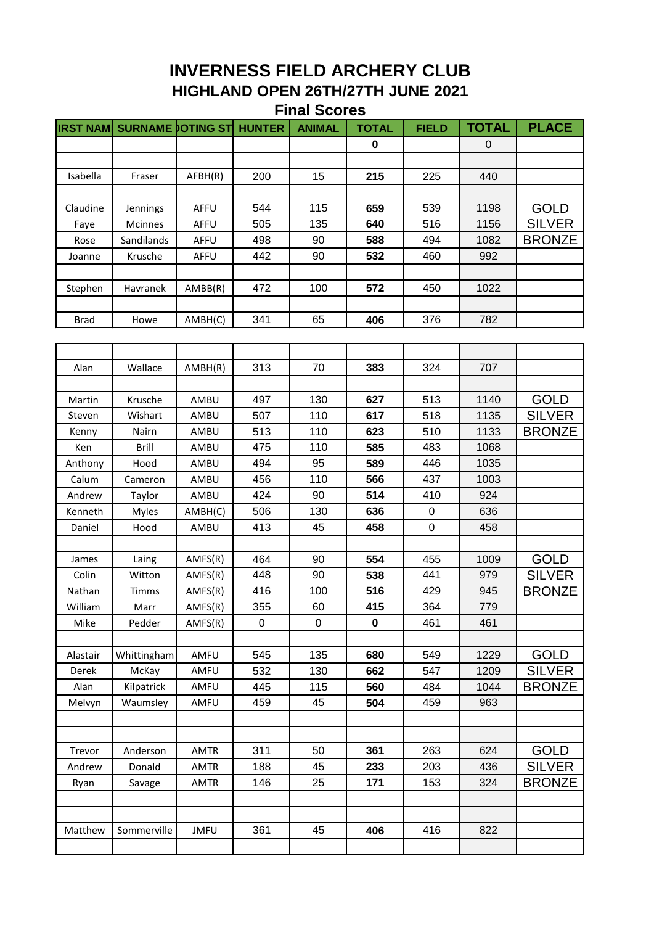## **INVERNESS FIELD ARCHERY CLUB HIGHLAND OPEN 26TH/27TH JUNE 2021 Final Scores**

| $\mathbf 0$<br>$\overline{0}$<br>200<br>15<br>225<br>215<br>440<br>Isabella<br>AFBH(R)<br>Fraser<br>Claudine<br>AFFU<br>544<br>115<br>539<br>1198<br>659<br>Jennings<br>Mcinnes<br>AFFU<br>505<br>135<br>640<br>516<br>1156<br>Faye<br>498<br>494<br>90<br>588<br>1082<br>Rose<br>Sandilands<br>AFFU<br>442<br>90<br>532<br>992<br>Krusche<br>AFFU<br>460<br>Joanne<br>472<br>100<br>572<br>Stephen<br>Havranek<br>AMBB(R)<br>450<br>1022<br>341<br>406<br>65<br>376<br>782<br>AMBH(C)<br><b>Brad</b><br>Howe | <b>GOLD</b><br><b>SILVER</b><br><b>BRONZE</b> |
|---------------------------------------------------------------------------------------------------------------------------------------------------------------------------------------------------------------------------------------------------------------------------------------------------------------------------------------------------------------------------------------------------------------------------------------------------------------------------------------------------------------|-----------------------------------------------|
|                                                                                                                                                                                                                                                                                                                                                                                                                                                                                                               |                                               |
|                                                                                                                                                                                                                                                                                                                                                                                                                                                                                                               |                                               |
|                                                                                                                                                                                                                                                                                                                                                                                                                                                                                                               |                                               |
|                                                                                                                                                                                                                                                                                                                                                                                                                                                                                                               |                                               |
|                                                                                                                                                                                                                                                                                                                                                                                                                                                                                                               |                                               |
|                                                                                                                                                                                                                                                                                                                                                                                                                                                                                                               |                                               |
|                                                                                                                                                                                                                                                                                                                                                                                                                                                                                                               |                                               |
|                                                                                                                                                                                                                                                                                                                                                                                                                                                                                                               |                                               |
|                                                                                                                                                                                                                                                                                                                                                                                                                                                                                                               |                                               |
|                                                                                                                                                                                                                                                                                                                                                                                                                                                                                                               |                                               |
|                                                                                                                                                                                                                                                                                                                                                                                                                                                                                                               |                                               |
|                                                                                                                                                                                                                                                                                                                                                                                                                                                                                                               |                                               |
|                                                                                                                                                                                                                                                                                                                                                                                                                                                                                                               |                                               |
|                                                                                                                                                                                                                                                                                                                                                                                                                                                                                                               |                                               |
| 313<br>70<br>324<br>707<br>Wallace<br>AMBH(R)<br>383<br>Alan                                                                                                                                                                                                                                                                                                                                                                                                                                                  |                                               |
|                                                                                                                                                                                                                                                                                                                                                                                                                                                                                                               |                                               |
| Krusche<br>497<br>130<br>627<br>513<br>1140<br>Martin<br>AMBU                                                                                                                                                                                                                                                                                                                                                                                                                                                 | <b>GOLD</b>                                   |
| 507<br>110<br>617<br>518<br>1135<br>Wishart<br>AMBU<br>Steven                                                                                                                                                                                                                                                                                                                                                                                                                                                 | <b>SILVER</b>                                 |
| 513<br>110<br>510<br>1133<br>AMBU<br>623<br>Kenny<br>Nairn                                                                                                                                                                                                                                                                                                                                                                                                                                                    | <b>BRONZE</b>                                 |
| 475<br>110<br>585<br>483<br>Brill<br>AMBU<br>1068<br>Ken                                                                                                                                                                                                                                                                                                                                                                                                                                                      |                                               |
| 494<br>95<br>589<br>Anthony<br>Hood<br>AMBU<br>446<br>1035                                                                                                                                                                                                                                                                                                                                                                                                                                                    |                                               |
| 456<br>Calum<br>110<br>566<br>437<br>1003<br>AMBU<br>Cameron                                                                                                                                                                                                                                                                                                                                                                                                                                                  |                                               |
| 424<br>90<br>924<br>514<br>410<br>Andrew<br>Taylor<br>AMBU                                                                                                                                                                                                                                                                                                                                                                                                                                                    |                                               |
| 506<br>130<br>636<br>636<br>$\mathbf 0$<br>Kenneth<br><b>Myles</b><br>AMBH(C)                                                                                                                                                                                                                                                                                                                                                                                                                                 |                                               |
| Daniel<br>413<br>45<br>458<br>$\mathbf 0$<br>458<br>Hood<br>AMBU                                                                                                                                                                                                                                                                                                                                                                                                                                              |                                               |
|                                                                                                                                                                                                                                                                                                                                                                                                                                                                                                               |                                               |
| 464<br>90<br>554<br>455<br>1009<br>Laing<br>AMFS(R)<br>James                                                                                                                                                                                                                                                                                                                                                                                                                                                  | <b>GOLD</b>                                   |
| 448<br>538<br>90<br>441<br>979<br>Colin<br>Witton<br>AMFS(R)                                                                                                                                                                                                                                                                                                                                                                                                                                                  | <b>SILVER</b>                                 |
| 416<br>516<br>Nathan<br>AMFS(R)<br>100<br>429<br>945<br>Timms                                                                                                                                                                                                                                                                                                                                                                                                                                                 | <b>BRONZE</b>                                 |
| 355<br>60<br>364<br>779<br>AMFS(R)<br>415<br>William<br>Marr                                                                                                                                                                                                                                                                                                                                                                                                                                                  |                                               |
| 0<br>0<br>0<br>461<br>461<br>Mike<br>Pedder<br>AMFS(R)                                                                                                                                                                                                                                                                                                                                                                                                                                                        |                                               |
|                                                                                                                                                                                                                                                                                                                                                                                                                                                                                                               |                                               |
| 135<br>1229<br>Alastair<br>Whittingham<br>AMFU<br>545<br>680<br>549                                                                                                                                                                                                                                                                                                                                                                                                                                           | <b>GOLD</b>                                   |
| 532<br>130<br>AMFU<br>547<br>1209<br>Derek<br>McKay<br>662                                                                                                                                                                                                                                                                                                                                                                                                                                                    | <b>SILVER</b>                                 |
| 115<br>560<br>Kilpatrick<br>445<br>484<br>1044<br>Alan<br>AMFU                                                                                                                                                                                                                                                                                                                                                                                                                                                | <b>BRONZE</b>                                 |
| Waumsley<br>AMFU<br>459<br>45<br>504<br>459<br>963<br>Melvyn                                                                                                                                                                                                                                                                                                                                                                                                                                                  |                                               |
|                                                                                                                                                                                                                                                                                                                                                                                                                                                                                                               |                                               |
|                                                                                                                                                                                                                                                                                                                                                                                                                                                                                                               |                                               |
| 311<br>361<br>263<br>624<br>Trevor<br>Anderson<br><b>AMTR</b><br>50                                                                                                                                                                                                                                                                                                                                                                                                                                           | GOLD                                          |
| Donald<br>188<br>233<br>Andrew<br><b>AMTR</b><br>45<br>203<br>436                                                                                                                                                                                                                                                                                                                                                                                                                                             | <b>SILVER</b>                                 |
| 146<br>25<br>153<br>324<br><b>AMTR</b><br>171<br>Savage<br>Ryan                                                                                                                                                                                                                                                                                                                                                                                                                                               | <b>BRONZE</b>                                 |
|                                                                                                                                                                                                                                                                                                                                                                                                                                                                                                               |                                               |
|                                                                                                                                                                                                                                                                                                                                                                                                                                                                                                               |                                               |
| Sommerville<br><b>JMFU</b><br>361<br>45<br>406<br>416<br>822<br>Matthew                                                                                                                                                                                                                                                                                                                                                                                                                                       |                                               |
|                                                                                                                                                                                                                                                                                                                                                                                                                                                                                                               |                                               |